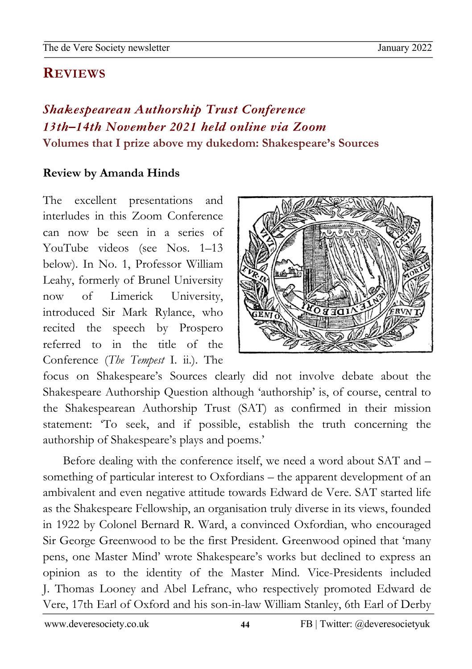#### newslet the second second second second second second second second second second second second second second second second second second second second second second second second second second second second second second **REVIEWS**

# *Shakespearean Authorship Trust Conference 13th–14th November 2021 held online via Zoom* **Volumes that I prize above my dukedom: Shakespeare's Sources**

## **Review by Amanda Hinds**

The excellent presentations and interludes in this Zoom Conference can now be seen in a series of YouTube videos (see Nos. 1–13 below). In No. 1, Professor William Leahy, formerly of Brunel University now of Limerick University, introduced Sir Mark Rylance, who recited the speech by Prospero referred to in the title of the Conference (*The Tempest* I. ii.). The



focus on Shakespeare's Sources clearly did not involve debate about the Shakespeare Authorship Question although 'authorship' is, of course, central to the Shakespearean Authorship Trust (SAT) as confirmed in their mission statement: 'To seek, and if possible, establish the truth concerning the authorship of Shakespeare's plays and poems.'

Before dealing with the conference itself, we need a word about SAT and – something of particular interest to Oxfordians – the apparent development of an ambivalent and even negative attitude towards Edward de Vere. SAT started life as the Shakespeare Fellowship, an organisation truly diverse in its views, founded in 1922 by Colonel Bernard R. Ward, a convinced Oxfordian, who encouraged Sir George Greenwood to be the first President. Greenwood opined that 'many pens, one Master Mind' wrote Shakespeare's works but declined to express an opinion as to the identity of the Master Mind. Vice-Presidents included J. Thomas Looney and Abel Lefranc, who respectively promoted Edward de Vere, 17th Earl of Oxford and his son-in-law William Stanley, 6th Earl of Derby

02Apro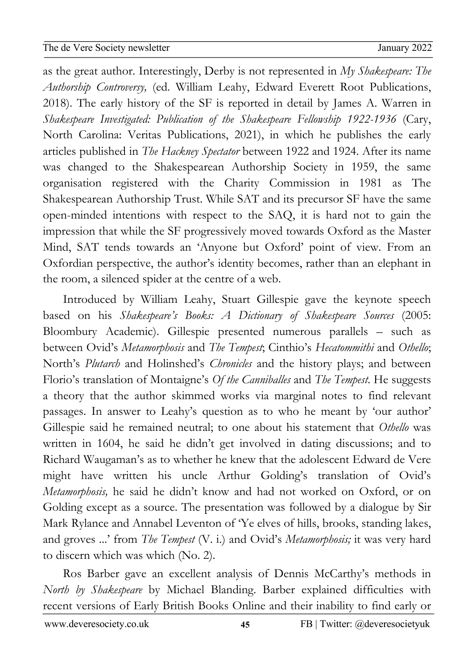02Apro 0 as the great author. Interestingly, Derby is not represented in *My Shakespeare: The*  newslet the second second second second second second second second second second second second second second second second second second second second second second second second second second second second second second *Authorship Controversy,* (ed. William Leahy, Edward Everett Root Publications, 2018). The early history of the SF is reported in detail by James A. Warren in *Shakespeare Investigated: Publication of the Shakespeare Fellowship 1922-1936* (Cary, North Carolina: Veritas Publications, 2021), in which he publishes the early articles published in *The Hackney Spectator* between 1922 and 1924. After its name was changed to the Shakespearean Authorship Society in 1959, the same organisation registered with the Charity Commission in 1981 as The Shakespearean Authorship Trust. While SAT and its precursor SF have the same open-minded intentions with respect to the SAQ, it is hard not to gain the impression that while the SF progressively moved towards Oxford as the Master Mind, SAT tends towards an 'Anyone but Oxford' point of view. From an Oxfordian perspective, the author's identity becomes, rather than an elephant in the room, a silenced spider at the centre of a web.

Introduced by William Leahy, Stuart Gillespie gave the keynote speech based on his *Shakespeare's Books: A Dictionary of Shakespeare Sources* (2005: Bloombury Academic). Gillespie presented numerous parallels – such as between Ovid's *Metamorphosis* and *The Tempest*; Cinthio's *Hecatommithi* and *Othello*; North's *Plutarch* and Holinshed's *Chronicles* and the history plays; and between Florio's translation of Montaigne's *Of the Canniballes* and *The Tempest*. He suggests a theory that the author skimmed works via marginal notes to find relevant passages. In answer to Leahy's question as to who he meant by 'our author' Gillespie said he remained neutral; to one about his statement that *Othello* was written in 1604, he said he didn't get involved in dating discussions; and to Richard Waugaman's as to whether he knew that the adolescent Edward de Vere might have written his uncle Arthur Golding's translation of Ovid's *Metamorphosis,* he said he didn't know and had not worked on Oxford, or on Golding except as a source. The presentation was followed by a dialogue by Sir Mark Rylance and Annabel Leventon of 'Ye elves of hills, brooks, standing lakes, and groves ...' from *The Tempest* (V. i.) and Ovid's *Metamorphosis;* it was very hard to discern which was which (No. 2).

Ros Barber gave an excellent analysis of Dennis McCarthy's methods in *North by Shakespeare* by Michael Blanding. Barber explained difficulties with recent versions of Early British Books Online and their inability to find early or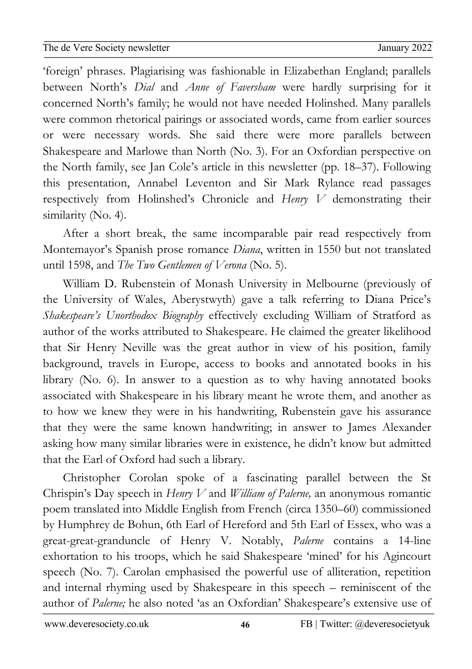02Apro 'foreign' phrases. Plagiarising was fashionable in Elizabethan England; parallels newslet the second second second second second second second second second second second second second second second second second second second second second second second second second second second second second second between North's *Dial* and *Anne of Faversham* were hardly surprising for it concerned North's family; he would not have needed Holinshed. Many parallels were common rhetorical pairings or associated words, came from earlier sources or were necessary words. She said there were more parallels between Shakespeare and Marlowe than North (No. 3). For an Oxfordian perspective on the North family, see Jan Cole's article in this newsletter (pp. 18–37). Following this presentation, Annabel Leventon and Sir Mark Rylance read passages respectively from Holinshed's Chronicle and *Henry V* demonstrating their similarity (No. 4).

After a short break, the same incomparable pair read respectively from Montemayor's Spanish prose romance *Diana*, written in 1550 but not translated until 1598, and *The Two Gentlemen of Verona* (No. 5).

William D. Rubenstein of Monash University in Melbourne (previously of the University of Wales, Aberystwyth) gave a talk referring to Diana Price's *Shakespeare's Unorthodox Biography* effectively excluding William of Stratford as author of the works attributed to Shakespeare. He claimed the greater likelihood that Sir Henry Neville was the great author in view of his position, family background, travels in Europe, access to books and annotated books in his library (No. 6). In answer to a question as to why having annotated books associated with Shakespeare in his library meant he wrote them, and another as to how we knew they were in his handwriting, Rubenstein gave his assurance that they were the same known handwriting; in answer to James Alexander asking how many similar libraries were in existence, he didn't know but admitted that the Earl of Oxford had such a library.

Christopher Corolan spoke of a fascinating parallel between the St Chrispin's Day speech in *Henry V* and *William of Palerne,* an anonymous romantic poem translated into Middle English from French (circa 1350–60) commissioned by Humphrey de Bohun, 6th Earl of Hereford and 5th Earl of Essex, who was a great-great-granduncle of Henry V. Notably, *Palerne* contains a 14-line exhortation to his troops, which he said Shakespeare 'mined' for his Agincourt speech (No. 7). Carolan emphasised the powerful use of alliteration, repetition and internal rhyming used by Shakespeare in this speech – reminiscent of the author of *Palerne;* he also noted 'as an Oxfordian' Shakespeare's extensive use of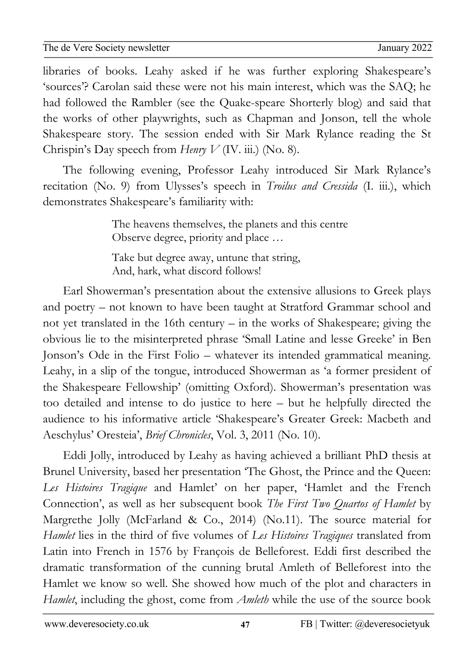02Apro 0 libraries of books. Leahy asked if he was further exploring Shakespeare's newslet the second second second second second second second second second second second second second second second second second second second second second second second second second second second second second second 'sources'? Carolan said these were not his main interest, which was the SAQ; he had followed the Rambler (see the Quake-speare Shorterly blog) and said that the works of other playwrights, such as Chapman and Jonson, tell the whole Shakespeare story. The session ended with Sir Mark Rylance reading the St Chrispin's Day speech from *Henry V* (IV. iii.) (No. 8).

The following evening, Professor Leahy introduced Sir Mark Rylance's recitation (No. 9) from Ulysses's speech in *Troilus and Cressida* (I. iii.), which demonstrates Shakespeare's familiarity with:

> The heavens themselves, the planets and this centre Observe degree, priority and place …

Take but degree away, untune that string, And, hark, what discord follows!

Earl Showerman's presentation about the extensive allusions to Greek plays and poetry – not known to have been taught at Stratford Grammar school and not yet translated in the 16th century – in the works of Shakespeare; giving the obvious lie to the misinterpreted phrase 'Small Latine and lesse Greeke' in Ben Jonson's Ode in the First Folio – whatever its intended grammatical meaning. Leahy, in a slip of the tongue, introduced Showerman as 'a former president of the Shakespeare Fellowship' (omitting Oxford). Showerman's presentation was too detailed and intense to do justice to here – but he helpfully directed the audience to his informative article 'Shakespeare's Greater Greek: Macbeth and Aeschylus' Oresteia', *Brief Chronicles*, Vol. 3, 2011 (No. 10).

Eddi Jolly, introduced by Leahy as having achieved a brilliant PhD thesis at Brunel University, based her presentation 'The Ghost, the Prince and the Queen: *Les Histoires Tragique* and Hamlet' on her paper, 'Hamlet and the French Connection', as well as her subsequent book *The First Two Quartos of Hamlet* by Margrethe Jolly (McFarland & Co., 2014) (No.11). The source material for *Hamlet* lies in the third of five volumes of *Les Histoires Tragiques* translated from Latin into French in 1576 by François de Belleforest. Eddi first described the dramatic transformation of the cunning brutal Amleth of Belleforest into the Hamlet we know so well. She showed how much of the plot and characters in *Hamlet*, including the ghost, come from *Amleth* while the use of the source book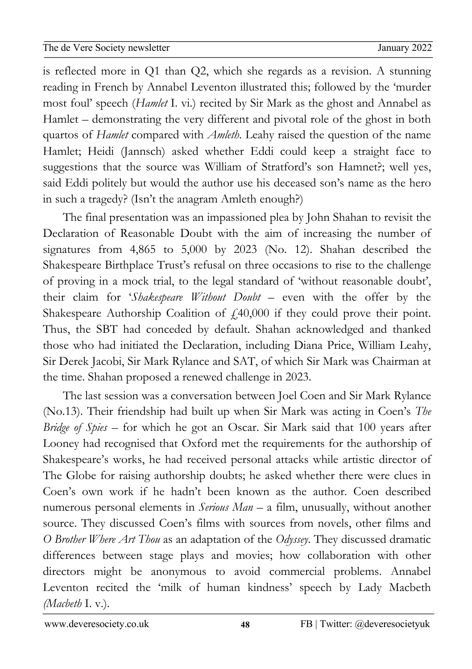02Apro 0 is reflected more in Q1 than Q2, which she regards as a revision. A stunning newslet the second second second second second second second second second second second second second second second second second second second second second second second second second second second second second second reading in French by Annabel Leventon illustrated this; followed by the 'murder most foul' speech (*Hamlet* I. vi.) recited by Sir Mark as the ghost and Annabel as Hamlet – demonstrating the very different and pivotal role of the ghost in both quartos of *Hamlet* compared with *Amleth*. Leahy raised the question of the name Hamlet; Heidi (Jannsch) asked whether Eddi could keep a straight face to suggestions that the source was William of Stratford's son Hamnet?; well yes, said Eddi politely but would the author use his deceased son's name as the hero in such a tragedy? (Isn't the anagram Amleth enough?)

The final presentation was an impassioned plea by John Shahan to revisit the Declaration of Reasonable Doubt with the aim of increasing the number of signatures from 4,865 to 5,000 by 2023 (No. 12). Shahan described the Shakespeare Birthplace Trust's refusal on three occasions to rise to the challenge of proving in a mock trial, to the legal standard of 'without reasonable doubt', their claim for '*Shakespeare Without Doubt* – even with the offer by the Shakespeare Authorship Coalition of  $f<sub>1</sub>(40,000)$  if they could prove their point. Thus, the SBT had conceded by default. Shahan acknowledged and thanked those who had initiated the Declaration, including Diana Price, William Leahy, Sir Derek Jacobi, Sir Mark Rylance and SAT, of which Sir Mark was Chairman at the time. Shahan proposed a renewed challenge in 2023.

The last session was a conversation between Joel Coen and Sir Mark Rylance (No.13). Their friendship had built up when Sir Mark was acting in Coen's *The Bridge of Spies* – for which he got an Oscar. Sir Mark said that 100 years after Looney had recognised that Oxford met the requirements for the authorship of Shakespeare's works, he had received personal attacks while artistic director of The Globe for raising authorship doubts; he asked whether there were clues in Coen's own work if he hadn't been known as the author. Coen described numerous personal elements in *Serious Man* – a film, unusually, without another source. They discussed Coen's films with sources from novels, other films and *O Brother Where Art Thou* as an adaptation of the *Odyssey*. They discussed dramatic differences between stage plays and movies; how collaboration with other directors might be anonymous to avoid commercial problems. Annabel Leventon recited the 'milk of human kindness' speech by Lady Macbeth *(Macbeth* I. v.).